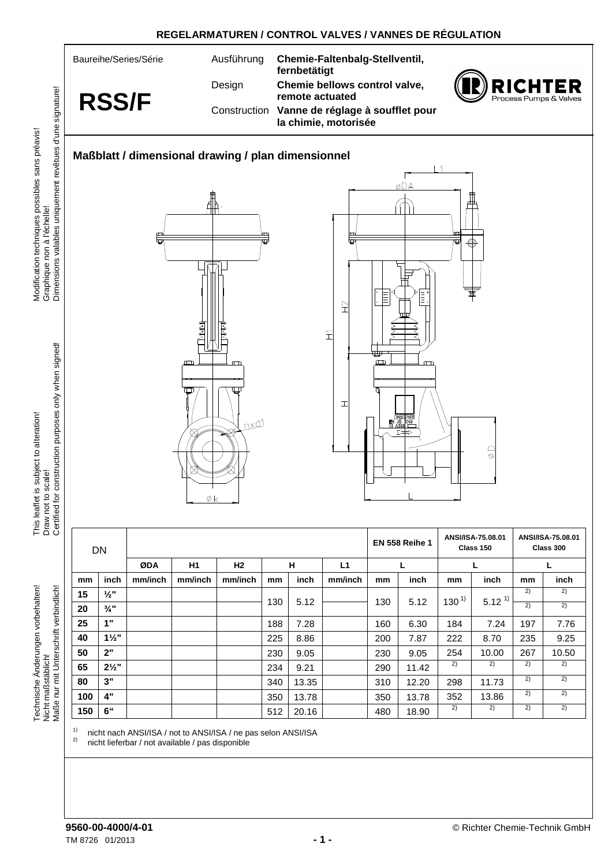

**REGELARMATUREN / CONTROL VALVES / VANNES DE RÉGULATION** 

Graphique non à l'échelle!<br>Dimensions valables uniquement revêtues d'une signature! Modification techniques possibles sans préavis! Modification techniques possibles sans préavis! Graphique non à l'échelle!

This leaflet is subject to alteration! This leaflet is subject to alteration! Draw not to scale!

Technische Änderungen vorbehalten! Technische Änderungen vorbehalten! Maße nur mit Unterschrift verbindlich! Maße nur mit Unterschrift verbindlich! **Vicht maßstäblich!** Nicht maßstäblich!

**50 2"** 230 9.05 230 9.05 254 10.00 267 10.50 **65 2½"** 234 9.21 290 11.42 2) 2) 2) 2) **80 3"** 340 13.35 310 12.20 298 11.73 2) 2) 100 | 4" | | | | | 350 | 13.78 | | | 350 | 13.78 | 352 | 13.86 | <sup>2)</sup> | <sup>2)</sup> **150 6"** 512 20.16 480 18.90 2) 2) 2) 2)

<sup>1)</sup> nicht nach ANSI/ISA / not to ANSI/ISA / ne pas selon ANSI/ISA<br><sup>2)</sup> nicht lieferher / net eveileble / nee diepenible

nicht lieferbar / not available / pas disponible